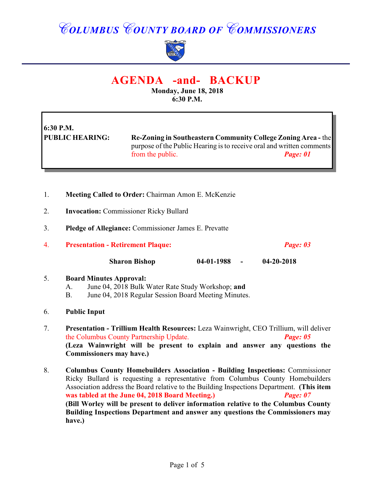## *COLUMBUS COUNTY BOARD OF COMMISSIONERS*



### **AGENDA -and- BACKUP**

**Monday, June 18, 2018 6:30 P.M.**

# **6:30 P.M.**

**PUBLIC HEARING: Re-Zoning in Southeastern Community College Zoning Area -** the purpose of the Public Hearing is to receive oral and written comments from the public. *Page: 01*

- 1. **Meeting Called to Order:** Chairman Amon E. McKenzie
- 2. **Invocation:** Commissioner Ricky Bullard
- 3. **Pledge of Allegiance:** Commissioner James E. Prevatte
- 4. **Presentation Retirement Plaque:** *Page: 03*

**Sharon Bishop 04-01-1988 - 04-20-2018**

#### 5. **Board Minutes Approval:**

- A. June 04, 2018 Bulk Water Rate Study Workshop; **and**
- B. June 04, 2018 Regular Session Board Meeting Minutes.

#### 6. **Public Input**

- 7. **Presentation Trillium Health Resources:** Leza Wainwright, CEO Trillium, will deliver the Columbus County Partnership Update. *Page: 05* **(Leza Wainwright will be present to explain and answer any questions the Commissioners may have.)**
- 8. **Columbus County Homebuilders Association Building Inspections:** Commissioner Ricky Bullard is requesting a representative from Columbus County Homebuilders Association address the Board relative to the Building Inspections Department. **(This item was tabled at the June 04, 2018 Board Meeting.)** *Page: 07* **(Bill Worley will be present to deliver information relative to the Columbus County Building Inspections Department and answer any questions the Commissioners may have.)**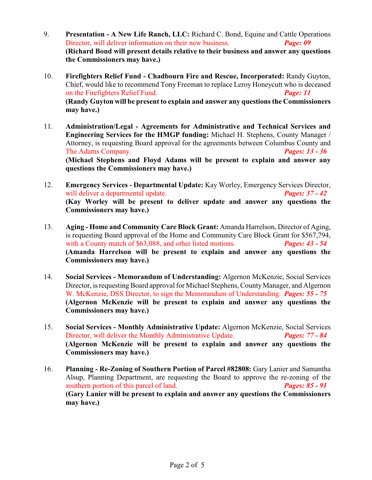- 9. **Presentation A New Life Ranch, LLC:** Richard C. Bond, Equine and Cattle Operations Director, will deliver information on their new business. *Page: 09* **(Richard Bond will present details relative to their business and answer any questions the Commissioners may have.)**
- 10. **Firefighters Relief Fund Chadbourn Fire and Rescue, Incorporated:** Randy Guyton, Chief, would like to recommend Tony Freeman to replace Leroy Honeycutt who is deceased on the Firefighters Relief Fund. *Page: 11* **(Randy Guyton will be present to explain and answer any questions the Commissioners may have.)**
- 11. **Administration/Legal Agreements for Administrative and Technical Services and Engineering Services for the HMGP funding:** Michael H. Stephens, County Manager / Attorney, is requesting Board approval for the agreements between Columbus County and The Adams Company. *Pages: 13 - 36* **(Michael Stephens and Floyd Adams will be present to explain and answer any questions the Commissioners may have.)**
- 12. **Emergency Services Departmental Update:** Kay Worley, Emergency Services Director, will deliver a departmental update. *Pages: 37 - 42* **(Kay Worley will be present to deliver update and answer any questions the Commissioners may have.)**
- 13. **Aging - Home and Community Care Block Grant:** Amanda Harrelson, Director of Aging, is requesting Board approval of the Home and Community Care Block Grant for \$567,794, with a County match of \$63,088, and other listed motions. **Pages: 43 - 54 (Amanda Harrelson will be present to explain and answer any questions the Commissioners may have.)**
- 14. **Social Services Memorandum of Understanding:** Algernon McKenzie, Social Services Director, is requesting Board approval for Michael Stephens, County Manager, and Algernon W. McKenzie, DSS Director, to sign the Memorandum of Understanding. *Pages: 55 - 75* **(Algernon McKenzie will be present to explain and answer any questions the Commissioners may have.)**
- 15. **Social Services Monthly Administrative Update:** Algernon McKenzie, Social Services Director, will deliver the Monthly Administrative Update. *Pages: 77 - 84* **(Algernon McKenzie will be present to explain and answer any questions the Commissioners may have.)**
- 16. **Planning Re-Zoning of Southern Portion of Parcel #82808:** Gary Lanier and Samantha Alsup, Planning Department, are requesting the Board to approve the re-zoning of the southern portion of this parcel of land. *Pages: 85 - 91* **(Gary Lanier will be present to explain and answer any questions the Commissioners may have.)**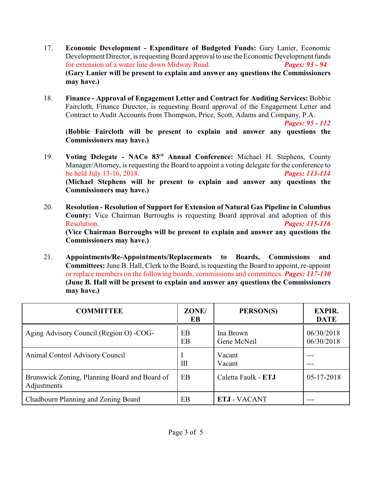- 17. **Economic Development Expenditure of Budgeted Funds:** Gary Lanier, Economic Development Director, is requesting Board approval to use the Economic Development funds for extension of a water line down Midway Road. *Pages: 93 - 94* **(Gary Lanier will be present to explain and answer any questions the Commissioners may have.)**
- 18. **Finance Approval of Engagement Letter and Contract for Auditing Services:** Bobbie Faircloth, Finance Director, is requesting Board approval of the Engagement Letter and Contract to Audit Accounts from Thompson, Price, Scott, Adams and Company, P.A.

*Pages: 95 - 112*

**(Bobbie Faircloth will be present to explain and answer any questions the Commissioners may have.)**

- 19. **Voting Delegate NACo 83<sup>rd</sup> Annual Conference:** Michael H. Stephens, County Manager/Attorney, is requesting the Board to appoint a voting delegate for the conference to be held July 13-16, 2018. *Pages: 113-114* **(Michael Stephens will be present to explain and answer any questions the Commissioners may have.)**
- 20. **Resolution Resolution of Support for Extension of Natural Gas Pipeline in Columbus County:** Vice Chairman Burroughs is requesting Board approval and adoption of this Resolution. *Pages: 115-116* **(Vice Chairman Burroughs will be present to explain and answer any questions the Commissioners may have.)**
- 21. **Appointments/Re-Appointments/Replacements to Boards, Commissions and Committees:** June B. Hall, Clerk to the Board, is requesting the Board to appoint, re-appoint or replace members on the following boards, commissions and committees. *Pages: 117-130* **(June B. Hall will be present to explain and answer any questions the Commissioners may have.)**

| <b>COMMITTEE</b>                                             | ZONE/<br>EB | PERSON(S)                | <b>EXPIR.</b><br><b>DATE</b> |
|--------------------------------------------------------------|-------------|--------------------------|------------------------------|
| Aging Advisory Council (Region O) -COG-                      | EВ<br>EB    | Ina Brown<br>Gene McNeil | 06/30/2018<br>06/30/2018     |
| Animal Control Advisory Council                              | Ш           | Vacant<br>Vacant         |                              |
| Brunswick Zoning, Planning Board and Board of<br>Adjustments | EB          | Caletta Faulk - ETJ      | $05 - 17 - 2018$             |
| Chadbourn Planning and Zoning Board                          | EB          | <b>ETJ - VACANT</b>      |                              |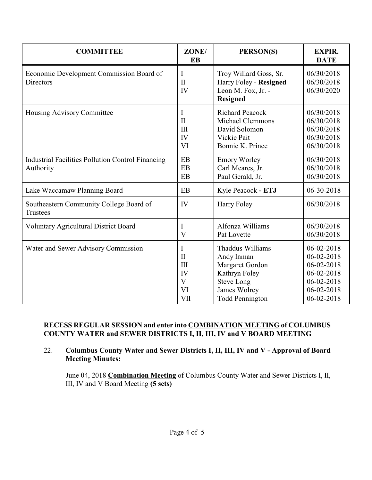| <b>COMMITTEE</b>                                                      | ZONE/<br>EB                                                 | PERSON(S)                                                                                                                         | <b>EXPIR.</b><br><b>DATE</b>                                                                   |
|-----------------------------------------------------------------------|-------------------------------------------------------------|-----------------------------------------------------------------------------------------------------------------------------------|------------------------------------------------------------------------------------------------|
| Economic Development Commission Board of<br><b>Directors</b>          | I<br>$\mathbf{I}$<br>IV                                     | Troy Willard Goss, Sr.<br>Harry Foley - Resigned<br>Leon M. Fox, Jr. -<br><b>Resigned</b>                                         | 06/30/2018<br>06/30/2018<br>06/30/2020                                                         |
| Housing Advisory Committee                                            | $\mathbf I$<br>$\mathbf{I}$<br>III<br>IV<br>VI              | <b>Richard Peacock</b><br><b>Michael Clemmons</b><br>David Solomon<br>Vickie Pait<br>Bonnie K. Prince                             | 06/30/2018<br>06/30/2018<br>06/30/2018<br>06/30/2018<br>06/30/2018                             |
| <b>Industrial Facilities Pollution Control Financing</b><br>Authority | EB<br>EB<br>EB                                              | <b>Emory Worley</b><br>Carl Meares, Jr.<br>Paul Gerald, Jr.                                                                       | 06/30/2018<br>06/30/2018<br>06/30/2018                                                         |
| Lake Waccamaw Planning Board                                          | EB                                                          | Kyle Peacock - ETJ                                                                                                                | 06-30-2018                                                                                     |
| Southeastern Community College Board of<br><b>Trustees</b>            | IV                                                          | Harry Foley                                                                                                                       | 06/30/2018                                                                                     |
| <b>Voluntary Agricultural District Board</b>                          | I<br>V                                                      | Alfonza Williams<br>Pat Lovette                                                                                                   | 06/30/2018<br>06/30/2018                                                                       |
| Water and Sewer Advisory Commission                                   | I<br>$\mathbf{I}$<br>III<br>IV<br>$\mathbf{V}$<br>VI<br>VII | Thaddus Williams<br>Andy Inman<br>Margaret Gordon<br>Kathryn Foley<br><b>Steve Long</b><br>James Wolrey<br><b>Todd Pennington</b> | 06-02-2018<br>06-02-2018<br>06-02-2018<br>06-02-2018<br>06-02-2018<br>06-02-2018<br>06-02-2018 |

#### **RECESS REGULAR SESSION and enter into COMBINATION MEETING of COLUMBUS COUNTY WATER and SEWER DISTRICTS I, II, III, IV and V BOARD MEETING**

#### 22. **Columbus County Water and Sewer Districts I, II, III, IV and V - Approval of Board Meeting Minutes:**

June 04, 2018 **Combination Meeting** of Columbus County Water and Sewer Districts I, II, III, IV and V Board Meeting **(5 sets)**